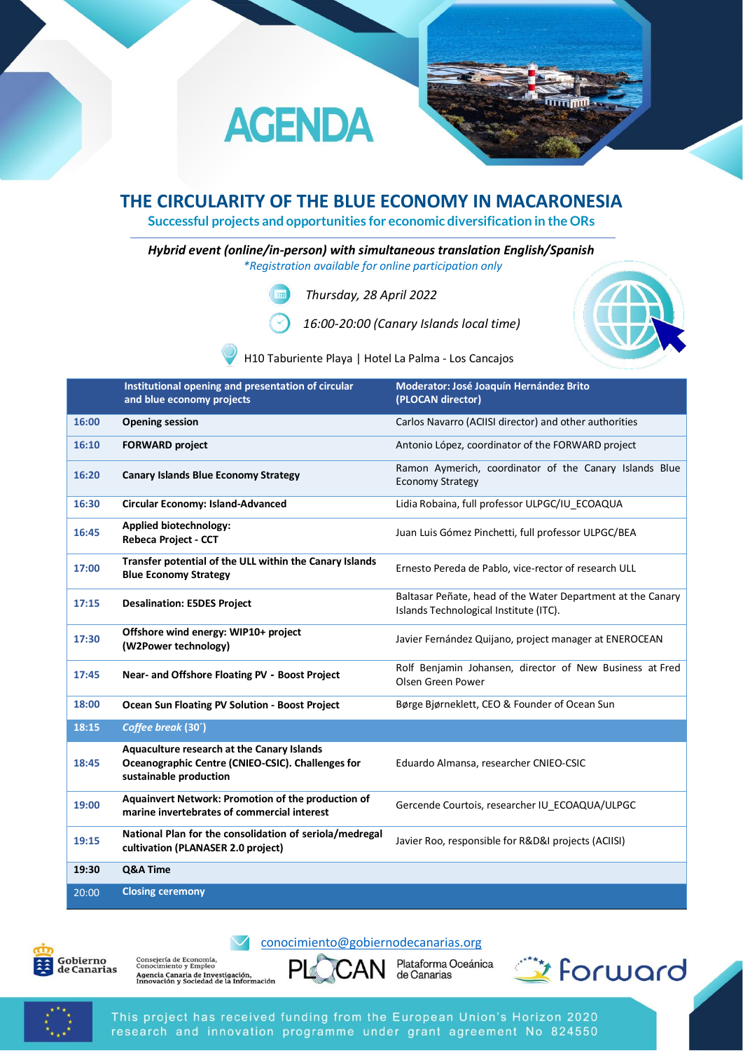



## **THE CIRCULARITY OF THE BLUE ECONOMY IN MACARONESIA**

**Successful projects and opportunities for economic diversification in the ORs**

*Hybrid event (online/in-person) with simultaneous translation English/Spanish \*Registration available for online participation only*



*Thursday, 28 April 2022*

 *16:00-20:00 (Canary Islands local time)*



[H10 Taburiente Playa | Hotel La Palma -](https://www.h10hotels.com/es/hoteles-la-palma/h10-taburiente-playa?cp=SPRINGH10&tc_alt=32414&n_okw=h10%20taburiente_e__c_1218259369099146&utm_source=BING_YAHOO&utm_medium=SEM&utm_campaign=01_H10_ES_CORPORATIVO&msclkid=820f6d33fceb16d62cac0f7e527ed7de&utm_term=h10%20taburiente&utm_content=H10%20Taburiente%20Playa%20ES) Los Cancajos

|       | Institutional opening and presentation of circular<br>and blue economy projects                                           | Moderator: José Joaquín Hernández Brito<br>(PLOCAN director)                                          |
|-------|---------------------------------------------------------------------------------------------------------------------------|-------------------------------------------------------------------------------------------------------|
| 16:00 | <b>Opening session</b>                                                                                                    | Carlos Navarro (ACIISI director) and other authorities                                                |
| 16:10 | <b>FORWARD</b> project                                                                                                    | Antonio López, coordinator of the FORWARD project                                                     |
| 16:20 | <b>Canary Islands Blue Economy Strategy</b>                                                                               | Ramon Aymerich, coordinator of the Canary Islands Blue<br><b>Economy Strategy</b>                     |
| 16:30 | Circular Economy: Island-Advanced                                                                                         | Lidia Robaina, full professor ULPGC/IU ECOAQUA                                                        |
| 16:45 | <b>Applied biotechnology:</b><br>Rebeca Project - CCT                                                                     | Juan Luis Gómez Pinchetti, full professor ULPGC/BEA                                                   |
| 17:00 | Transfer potential of the ULL within the Canary Islands<br><b>Blue Economy Strategy</b>                                   | Ernesto Pereda de Pablo, vice-rector of research ULL                                                  |
| 17:15 | <b>Desalination: E5DES Project</b>                                                                                        | Baltasar Peñate, head of the Water Department at the Canary<br>Islands Technological Institute (ITC). |
| 17:30 | Offshore wind energy: WIP10+ project<br>(W2Power technology)                                                              | Javier Fernández Quijano, project manager at ENEROCEAN                                                |
| 17:45 | Near- and Offshore Floating PV - Boost Project                                                                            | Rolf Benjamin Johansen, director of New Business at Fred<br>Olsen Green Power                         |
| 18:00 | <b>Ocean Sun Floating PV Solution - Boost Project</b>                                                                     | Børge Bjørneklett, CEO & Founder of Ocean Sun                                                         |
| 18:15 | Coffee break (30')                                                                                                        |                                                                                                       |
| 18:45 | Aquaculture research at the Canary Islands<br>Oceanographic Centre (CNIEO-CSIC). Challenges for<br>sustainable production | Eduardo Almansa, researcher CNIEO-CSIC                                                                |
| 19:00 | Aquainvert Network: Promotion of the production of<br>marine invertebrates of commercial interest                         | Gercende Courtois, researcher IU_ECOAQUA/ULPGC                                                        |
| 19:15 | National Plan for the consolidation of seriola/medregal<br>cultivation (PLANASER 2.0 project)                             | Javier Roo, responsible for R&D&I projects (ACIISI)                                                   |
| 19:30 | Q&A Time                                                                                                                  |                                                                                                       |
| 20:00 | <b>Closing ceremony</b>                                                                                                   |                                                                                                       |



Consejería de Economía,<br>Conocimiento y Empleo Conocumento y Empleo<br>Agencia Canaria de Investigación,<br>Innovación y Sociedad de la Información



Plataforma Oceánica de Canarias





This project has received funding from the European Union's Horizon 2020 research and innovation programme under grant agreement No 824550

[conocimiento@gobiernodecanarias.org](mailto:conocimiento@gobiernodecanarias.org)